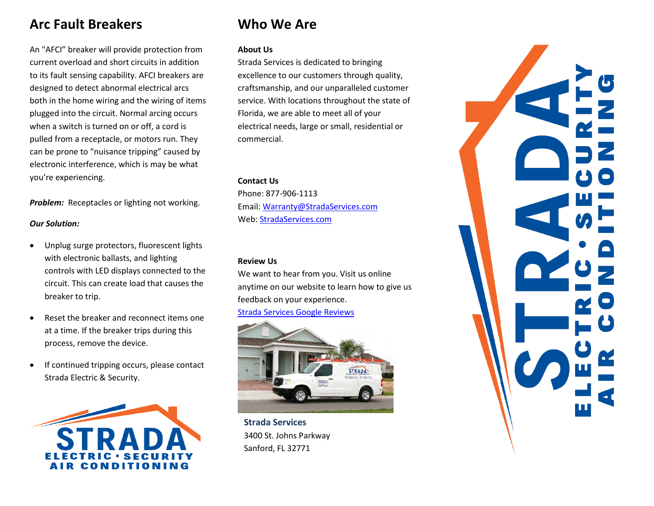# **Arc Fault Breakers**

An "AFCI" breaker will provide protection from current overload and short circuits in addition to its fault sensing capability. AFCI breakers are designed to detect abnormal electrical arcs both in the home wiring and the wiring of items plugged into the circuit. Normal arcing occurs when a switch is turned on or off, a cord is pulled from a receptacle, or motors run. They can be prone to "nuisance tripping" caused by electronic interference, which is may be what you're experiencing.

*Problem:* Receptacles or lighting not working.

#### *Our Solution:*

- Unplug surge protectors, fluorescent lights with electronic ballasts, and lighting controls with LED displays connected to the circuit. This can create load that causes the breaker to trip.
- Reset the breaker and reconnect items one at a time. If the breaker trips during this process, remove the device.
- If continued tripping occurs, please contact Strada Electric & Security.



# **Who We Are**

#### **About Us**

Strada Services is dedicated to bringing excellence to our customers through quality, craftsmanship, and our unparalleled customer service. With locations throughout the state of Florida, we are able to meet all of your electrical needs, large or small, residential or commercial.

#### **Contact Us**

Phone: 877-906-1113 Email: [Warranty@StradaServices.com](mailto:Warranty@StradaServices.com) Web[: StradaServices.com](http://www.stradaelectric.com/)

### **Review Us**

We want to hear from you. Visit us online anytime on our website to learn how to give us feedback on your experience.

[Strada Services Google Reviews](https://search.google.com/local/writereview?placeid=ChIJn2wJlIwS54gRW1y9T72T7io)



**Strada Services** 3400 St. Johns Parkway Sanford, FL 32771